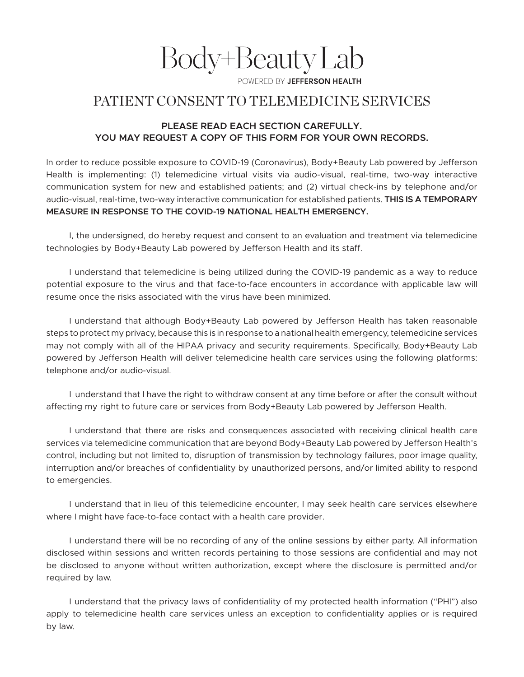Body+BeautyLab

WERED BY JEFFERSON HEALTH

## PATIENT CONSENT TO TELEMEDICINE SERVICES

## **PLEASE READ EACH SECTION CAREFULLY. YOU MAY REQUEST A COPY OF THIS FORM FOR YOUR OWN RECORDS.**

In order to reduce possible exposure to COVID-19 (Coronavirus), Body+Beauty Lab powered by Jefferson Health is implementing: (1) telemedicine virtual visits via audio-visual, real-time, two-way interactive communication system for new and established patients; and (2) virtual check-ins by telephone and/or audio-visual, real-time, two-way interactive communication for established patients. **THIS IS A TEMPORARY MEASURE IN RESPONSE TO THE COVID-19 NATIONAL HEALTH EMERGENCY.**

I, the undersigned, do hereby request and consent to an evaluation and treatment via telemedicine technologies by Body+Beauty Lab powered by Jefferson Health and its staff.

I understand that telemedicine is being utilized during the COVID-19 pandemic as a way to reduce potential exposure to the virus and that face-to-face encounters in accordance with applicable law will resume once the risks associated with the virus have been minimized.

I understand that although Body+Beauty Lab powered by Jefferson Health has taken reasonable steps to protect my privacy, because this is in response to a national health emergency, telemedicine services may not comply with all of the HIPAA privacy and security requirements. Specifically, Body+Beauty Lab powered by Jefferson Health will deliver telemedicine health care services using the following platforms: telephone and/or audio-visual.

I understand that I have the right to withdraw consent at any time before or after the consult without affecting my right to future care or services from Body+Beauty Lab powered by Jefferson Health.

I understand that there are risks and consequences associated with receiving clinical health care services via telemedicine communication that are beyond Body+Beauty Lab powered by Jefferson Health's control, including but not limited to, disruption of transmission by technology failures, poor image quality, interruption and/or breaches of confidentiality by unauthorized persons, and/or limited ability to respond to emergencies.

I understand that in lieu of this telemedicine encounter, I may seek health care services elsewhere where I might have face-to-face contact with a health care provider.

I understand there will be no recording of any of the online sessions by either party. All information disclosed within sessions and written records pertaining to those sessions are confidential and may not be disclosed to anyone without written authorization, except where the disclosure is permitted and/or required by law.

I understand that the privacy laws of confidentiality of my protected health information ("PHI") also apply to telemedicine health care services unless an exception to confidentiality applies or is required by law.